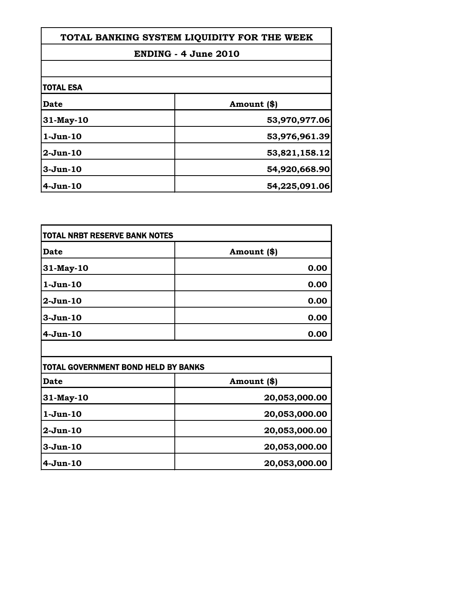| TOTAL BANKING SYSTEM LIQUIDITY FOR THE WEEK<br><b>ENDING - 4 June 2010</b> |               |
|----------------------------------------------------------------------------|---------------|
|                                                                            |               |
| <b>TOTAL ESA</b>                                                           |               |
| Date                                                                       | Amount (\$)   |
| 31-May-10                                                                  | 53,970,977.06 |
| $1-Jun-10$                                                                 | 53,976,961.39 |
| $2-Jun-10$                                                                 | 53,821,158.12 |
| $3-Jun-10$                                                                 | 54,920,668.90 |
| $4-Jun-10$                                                                 | 54,225,091.06 |

| <b>TOTAL NRBT RESERVE BANK NOTES</b> |             |
|--------------------------------------|-------------|
| Date                                 | Amount (\$) |
| 31-May-10                            | 0.00        |
| 1-Jun-10                             | 0.00        |
| 2-Jun-10                             | 0.00        |
| 3-Jun-10                             | 0.00        |
| 4-Jun-10                             | 0.00        |

| TOTAL GOVERNMENT BOND HELD BY BANKS |               |
|-------------------------------------|---------------|
| Date                                | Amount (\$)   |
| 31-May-10                           | 20,053,000.00 |
| $1-Jun-10$                          | 20,053,000.00 |
| $2-Jun-10$                          | 20,053,000.00 |
| $3-Jun-10$                          | 20,053,000.00 |
| $4-Jun-10$                          | 20,053,000.00 |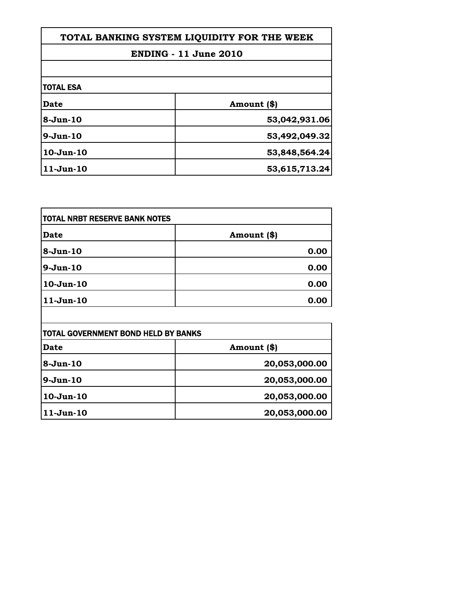| TOTAL BANKING SYSTEM LIQUIDITY FOR THE WEEK |               |
|---------------------------------------------|---------------|
| <b>ENDING - 11 June 2010</b>                |               |
|                                             |               |
| Date                                        | Amount (\$)   |
| $8-Jun-10$                                  | 53,042,931.06 |
| $9-Jun-10$                                  | 53,492,049.32 |
| $10-Jun-10$                                 | 53,848,564.24 |
| $11-Jun-10$                                 | 53,615,713.24 |

| <b>TOTAL NRBT RESERVE BANK NOTES</b>       |               |
|--------------------------------------------|---------------|
| Date                                       | Amount (\$)   |
| $8 - Jun-10$                               | 0.00          |
| $9-Jun-10$                                 | 0.00          |
| $10-Jun-10$                                | 0.00          |
| $11-Jun-10$                                | 0.00          |
|                                            |               |
| <b>TOTAL GOVERNMENT BOND HELD BY BANKS</b> |               |
| <b>Date</b>                                | Amount (\$)   |
| $8-Jun-10$                                 | 20,053,000.00 |
| $9 - Jun-10$                               | 20,053,000.00 |

**10-Jun-10 20,053,000.00**

**11-Jun-10 20,053,000.00**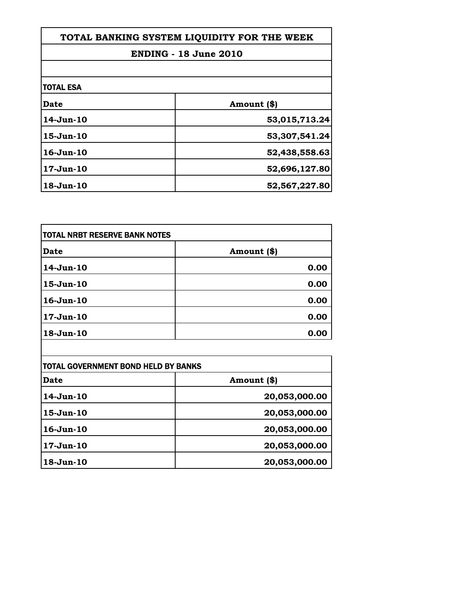| TOTAL BANKING SYSTEM LIQUIDITY FOR THE WEEK |               |
|---------------------------------------------|---------------|
| <b>ENDING - 18 June 2010</b>                |               |
|                                             |               |
| <b>Date</b>                                 | Amount (\$)   |
| 14-Jun-10                                   | 53,015,713.24 |
| $15-Jun-10$                                 | 53,307,541.24 |
| $16$ -Jun- $10$                             | 52,438,558.63 |
| $17 - Jun-10$                               | 52,696,127.80 |
| $18-Jun-10$                                 | 52,567,227.80 |

Г

| <b>TOTAL NRBT RESERVE BANK NOTES</b> |             |
|--------------------------------------|-------------|
| Date                                 | Amount (\$) |
| 14-Jun-10                            | 0.00        |
| $15-Jun-10$                          | 0.00        |
| $16 - Jun-10$                        | 0.00        |
| $17 - Jun-10$                        | 0.00        |
| 18-Jun-10                            | 0.00        |

| TOTAL GOVERNMENT BOND HELD BY BANKS |               |
|-------------------------------------|---------------|
| Date                                | Amount (\$)   |
| 14-Jun-10                           | 20,053,000.00 |
| $15 - Jun-10$                       | 20,053,000.00 |
| $16 - Jun-10$                       | 20,053,000.00 |
| $17 - Jun-10$                       | 20,053,000.00 |
| 18-Jun-10                           | 20,053,000.00 |